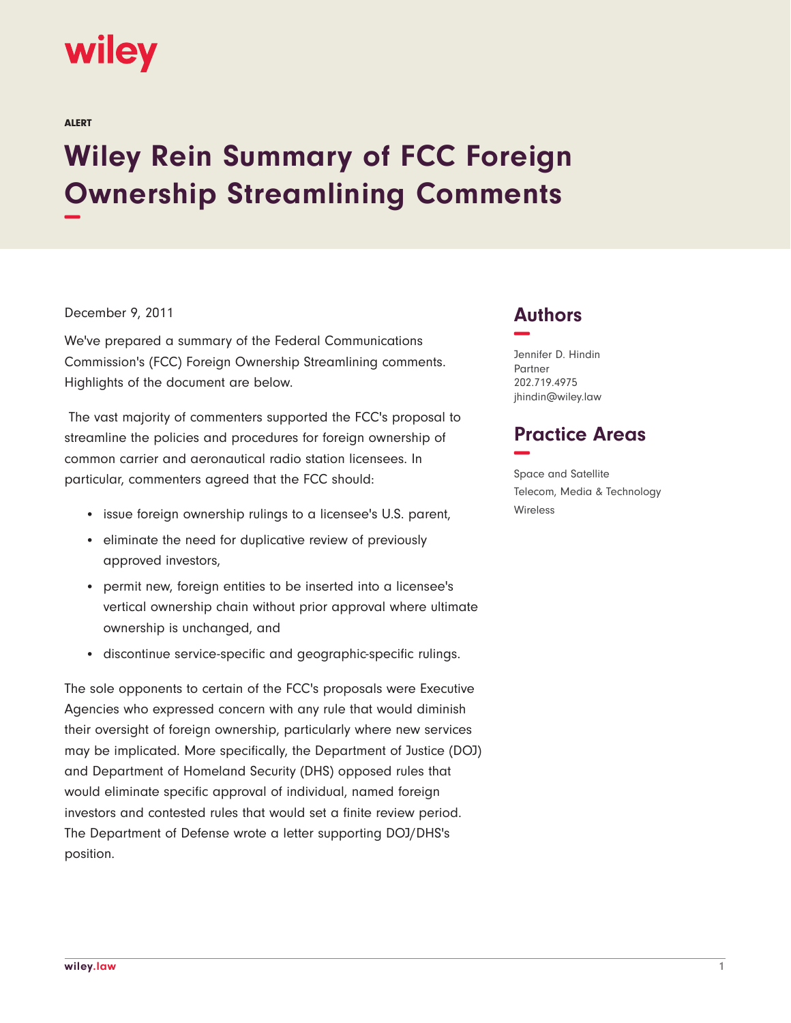

ALERT

## **Wiley Rein Summary of FCC Foreign Ownership Streamlining Comments −**

## December 9, 2011

We've prepared a summary of the Federal Communications Commission's (FCC) Foreign Ownership Streamlining comments. Highlights of the document are below.

 The vast majority of commenters supported the FCC's proposal to streamline the policies and procedures for foreign ownership of common carrier and aeronautical radio station licensees. In particular, commenters agreed that the FCC should:

- issue foreign ownership rulings to a licensee's U.S. parent,
- eliminate the need for duplicative review of previously approved investors,
- permit new, foreign entities to be inserted into a licensee's vertical ownership chain without prior approval where ultimate ownership is unchanged, and
- discontinue service-specific and geographic-specific rulings.

The sole opponents to certain of the FCC's proposals were Executive Agencies who expressed concern with any rule that would diminish their oversight of foreign ownership, particularly where new services may be implicated. More specifically, the Department of Justice (DOJ) and Department of Homeland Security (DHS) opposed rules that would eliminate specific approval of individual, named foreign investors and contested rules that would set a finite review period. The Department of Defense wrote a letter supporting DOJ/DHS's position.

## **Authors −**

Jennifer D. Hindin Partner 202.719.4975 jhindin@wiley.law

## **Practice Areas −**

Space and Satellite Telecom, Media & Technology Wireless